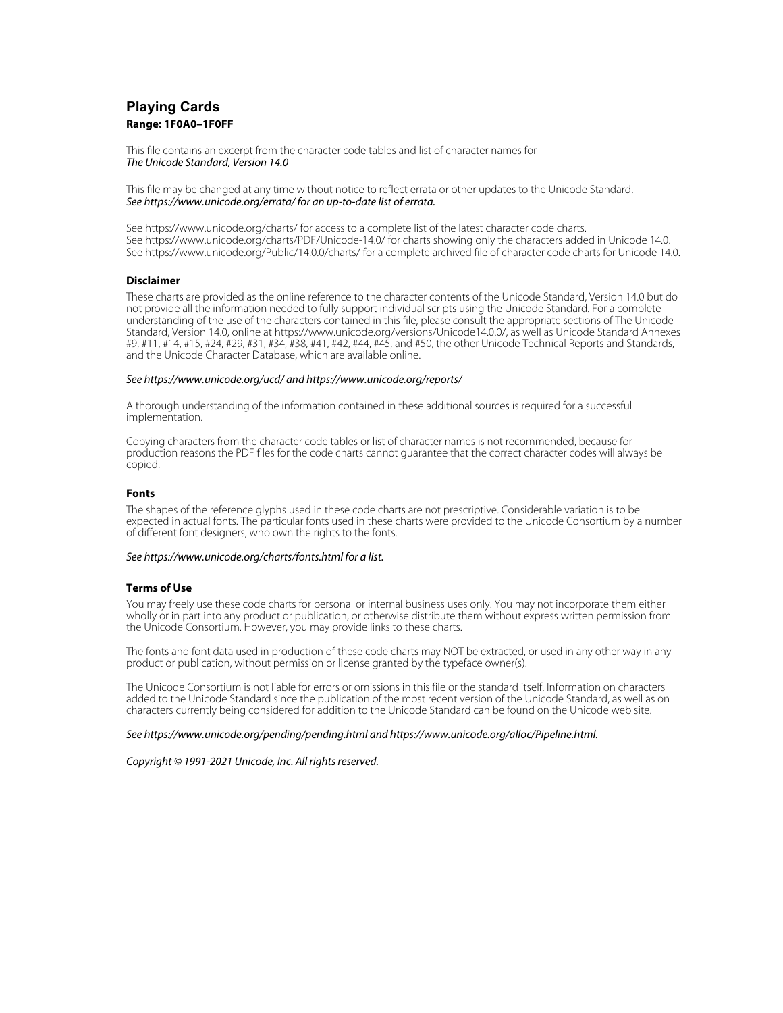# **Playing Cards Range: 1F0A0–1F0FF**

This file contains an excerpt from the character code tables and list of character names for The Unicode Standard, Version 14.0

This file may be changed at any time without notice to reflect errata or other updates to the Unicode Standard. See https://www.unicode.org/errata/ for an up-to-date list of errata.

See https://www.unicode.org/charts/ for access to a complete list of the latest character code charts. See https://www.unicode.org/charts/PDF/Unicode-14.0/ for charts showing only the characters added in Unicode 14.0. See https://www.unicode.org/Public/14.0.0/charts/ for a complete archived file of character code charts for Unicode 14.0.

## **Disclaimer**

These charts are provided as the online reference to the character contents of the Unicode Standard, Version 14.0 but do not provide all the information needed to fully support individual scripts using the Unicode Standard. For a complete understanding of the use of the characters contained in this file, please consult the appropriate sections of The Unicode Standard, Version 14.0, online at https://www.unicode.org/versions/Unicode14.0.0/, as well as Unicode Standard Annexes #9, #11, #14, #15, #24, #29, #31, #34, #38, #41, #42, #44, #45, and #50, the other Unicode Technical Reports and Standards, and the Unicode Character Database, which are available online.

#### See https://www.unicode.org/ucd/ and https://www.unicode.org/reports/

A thorough understanding of the information contained in these additional sources is required for a successful implementation.

Copying characters from the character code tables or list of character names is not recommended, because for production reasons the PDF files for the code charts cannot guarantee that the correct character codes will always be copied.

#### **Fonts**

The shapes of the reference glyphs used in these code charts are not prescriptive. Considerable variation is to be expected in actual fonts. The particular fonts used in these charts were provided to the Unicode Consortium by a number of different font designers, who own the rights to the fonts.

#### See https://www.unicode.org/charts/fonts.html for a list.

### **Terms of Use**

You may freely use these code charts for personal or internal business uses only. You may not incorporate them either wholly or in part into any product or publication, or otherwise distribute them without express written permission from the Unicode Consortium. However, you may provide links to these charts.

The fonts and font data used in production of these code charts may NOT be extracted, or used in any other way in any product or publication, without permission or license granted by the typeface owner(s).

The Unicode Consortium is not liable for errors or omissions in this file or the standard itself. Information on characters added to the Unicode Standard since the publication of the most recent version of the Unicode Standard, as well as on characters currently being considered for addition to the Unicode Standard can be found on the Unicode web site.

#### See https://www.unicode.org/pending/pending.html and https://www.unicode.org/alloc/Pipeline.html.

Copyright © 1991-2021 Unicode, Inc. All rights reserved.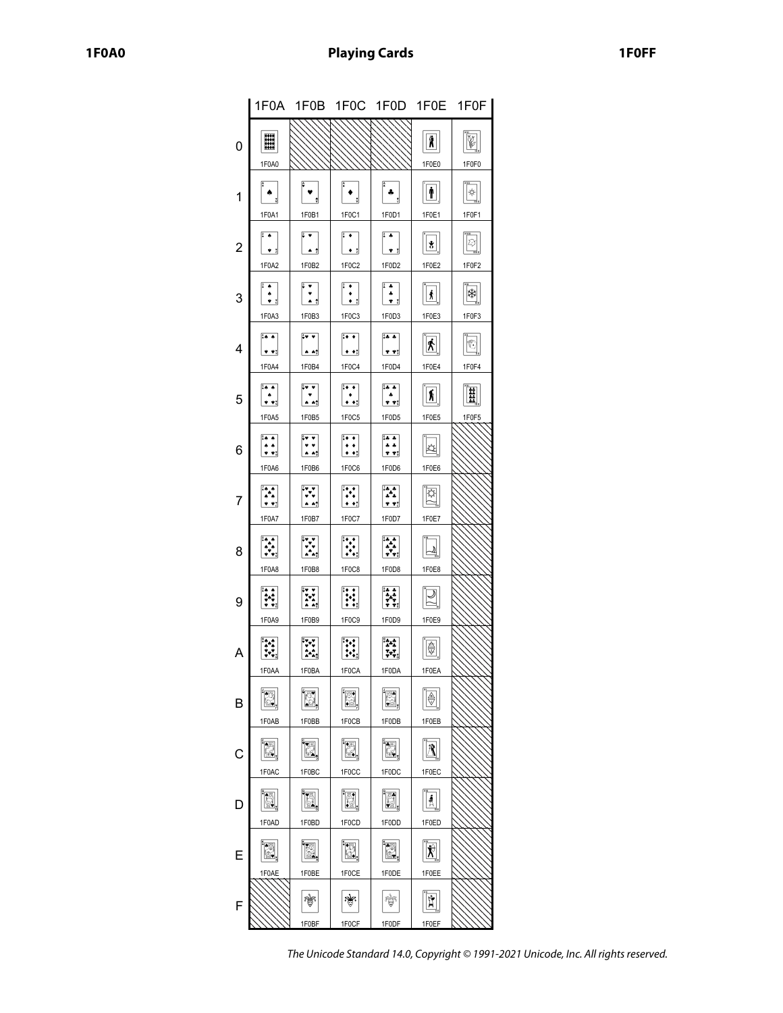|                |                                                 |                                                         |                                                     | 1F0A 1F0B 1F0C 1F0D 1F0E 1F0F                                                                                                                          |                              |             |
|----------------|-------------------------------------------------|---------------------------------------------------------|-----------------------------------------------------|--------------------------------------------------------------------------------------------------------------------------------------------------------|------------------------------|-------------|
| 0              | ▒<br>1F0A0                                      |                                                         |                                                     |                                                                                                                                                        | Ñ<br>1F0E0                   | 1F0F0       |
| 1              | 1F0A1                                           | 1F0B1                                                   | 1F0C1                                               | ÷<br>1F0D1                                                                                                                                             | Ť<br>1F0E1                   | †<br>1F0F1  |
| $\overline{c}$ | $\sqrt{2}$<br>1F0A2                             | 1F0B2                                                   | $\frac{2}{3}$ .<br>1F0C2                            | $\frac{2}{3}$<br>1F0D2                                                                                                                                 | $\mathbf{g}$<br>1F0E2        | Q<br>1F0F2  |
| 3              | 1F0A3                                           | 1F0B3                                                   | $\ddot{\phantom{0}}$<br>1F0C3                       | $\begin{array}{c}\n\overline{\bullet} \\ \overline{\bullet} \\ \overline{\bullet} \\ \overline{\bullet} \\ \overline{\bullet} \\ \end{array}$<br>1F0D3 | Â<br>1F0E3                   | ₩<br>1F0F3  |
| 4              | $\frac{1}{2}$ .<br>$\bullet$ $\bullet$<br>1F0A4 | ÷. v<br>$\triangle$ $\triangle$<br>1F0B4                | $\overline{\cdots}$<br>$\bullet$ $\bullet$<br>1F0C4 | $24 - 4$<br><u>* *:</u><br>1F0D4                                                                                                                       | <u>ጵ</u><br>1F0E4            | U,<br>1F0F4 |
| 5              | ∐∗<br>$\bullet$ $\bullet$ ;<br>1F0A5            | $\begin{bmatrix} 1 & 0 \\ 0 & 1 \end{bmatrix}$<br>1F0B5 | $\ddot{\cdot}$<br>1F0C5                             | 14 A<br>* *: <br>1F0D5                                                                                                                                 | ħ<br>1F0E5                   | Ħ<br>1F0F5  |
| 6              | $\sim$ 4.<br>ه ه<br>* *: <br>1F0A6              | $\ddot{\ddot{\cdot}}$<br><br>1F0B6                      | ¦:• ∙<br>$\bullet$ $\bullet$<br>1F0C6               | $4.4^{0}$<br>$\frac{1}{1}$<br>1F0D6                                                                                                                    | ☆<br>1F0E6                   |             |
| 7              | ⊺∙∗<br>$\bullet$ $\bullet$ $\dagger$<br>1F0A7   | $\bullet$ $\bullet_i^*$<br>1F0B7                        | $\bullet$ $\bullet$ $\bullet$<br>1F0C7              | ه ۲۰<br>$+ + +$<br>1F0D7                                                                                                                               | 1F0E7                        |             |
| 8              | $\ddot{\ddot{\cdot}}$<br>1F0A8                  | $\mathbf{v}$<br>1F0B8                                   | 1F0C8                                               | ł,<br>1F0D8                                                                                                                                            | 2<br>1F0E8                   |             |
| 9              | $\ddot{\ddot{\cdot}}$<br>1F0A9                  | 1F0B9                                                   | <b>E</b><br>1F0C9                                   | H.<br>1F0D9                                                                                                                                            | 1F0E9                        |             |
| Α              | 1FUAA                                           | <b>1FUBA</b>                                            | 1FUGA                                               | 1FUDA                                                                                                                                                  | 1FUEA                        |             |
| B              | <u>r</u><br>1F0AB                               | 1F0BB                                                   | 图<br>1F0CB                                          | 1F0DB                                                                                                                                                  | $\circledast$<br>1F0EB       |             |
| С              | É.<br>1F0AC                                     | E,<br>1F0BC                                             | E,<br>1F0CC                                         | é,<br>1F0DC                                                                                                                                            | ₫<br>1F0EC                   |             |
| D              | N<br>1F0AD                                      | iä,<br>1F0BD                                            | ē,<br>1F0CD                                         | 1F0DD                                                                                                                                                  | $\frac{4}{\Lambda}$<br>1F0ED |             |
| E              | E<br>1F0AE                                      | E<br>1F0BE                                              | þ.<br>1F0CE                                         | E<br>1F0DE                                                                                                                                             | $\hat{\bm{X}}$<br>1F0EE      |             |
| F              |                                                 | 1F0BF                                                   | ત્રીજ<br>1F0CF                                      | ÿ<br>1F0DF                                                                                                                                             | Ĥ<br>1F0EF                   |             |

The Unicode Standard 14.0, Copyright © 1991-2021 Unicode, Inc. All rights reserved.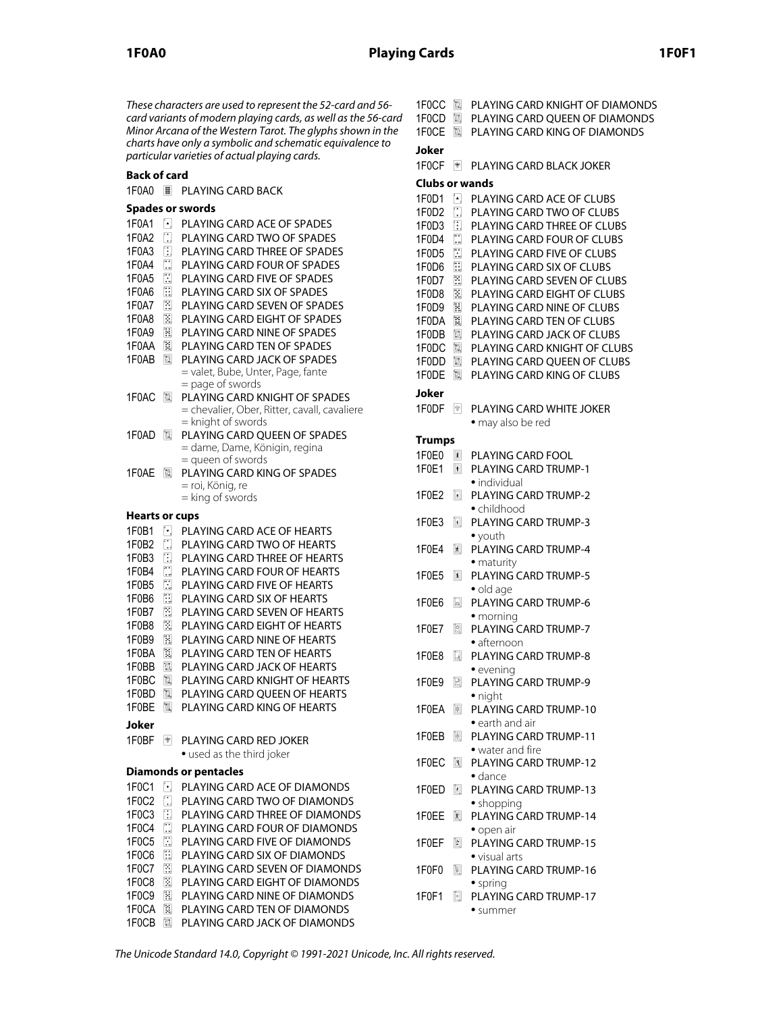These characters are used to represent the 52-card and 56 card variants of modern playing cards, as well as the 56-card Minor Arcana of the Western Tarot. The glyphs shown in the charts have only a symbolic and schematic equivalence to particular varieties of actual playing cards.

# **Back of card**

| 1F0A0                          | н                                      | PLAYING CARD BACK                                                                    |  |  |  |  |  |  |
|--------------------------------|----------------------------------------|--------------------------------------------------------------------------------------|--|--|--|--|--|--|
| Spades or swords               |                                        |                                                                                      |  |  |  |  |  |  |
| 1F0A1<br>1F0A2                 | Ŀ.<br>$\Box$                           | PLAYING CARD ACE OF SPADES<br>PLAYING CARD TWO OF SPADES                             |  |  |  |  |  |  |
| 1F0A3                          | O                                      | PLAYING CARD THREE OF SPADES                                                         |  |  |  |  |  |  |
| 1F0A4                          | $\begin{bmatrix} 1 \\ 1 \end{bmatrix}$ | PLAYING CARD FOUR OF SPADES                                                          |  |  |  |  |  |  |
| 1F0A5                          | ⊞                                      | PLAYING CARD FIVE OF SPADES                                                          |  |  |  |  |  |  |
| 1F0A6                          | E                                      | PLAYING CARD SIX OF SPADES                                                           |  |  |  |  |  |  |
| 1F0A7                          | 冨                                      | PLAYING CARD SEVEN OF SPADES                                                         |  |  |  |  |  |  |
| 1F0A8                          | Z                                      | PLAYING CARD EIGHT OF SPADES                                                         |  |  |  |  |  |  |
| 1F0A9                          | N                                      | PLAYING CARD NINE OF SPADES                                                          |  |  |  |  |  |  |
| 1F0AA                          | E                                      | PLAYING CARD TEN OF SPADES                                                           |  |  |  |  |  |  |
| 1F0AB                          | d                                      | PLAYING CARD JACK OF SPADES<br>= valet, Bube, Unter, Page, fante<br>= page of swords |  |  |  |  |  |  |
| 1F0AC                          | r.                                     | PLAYING CARD KNIGHT OF SPADES                                                        |  |  |  |  |  |  |
|                                |                                        | = chevalier, Ober, Ritter, cavall, cavaliere<br>= knight of swords                   |  |  |  |  |  |  |
| 1F0AD                          | id.                                    | PLAYING CARD QUEEN OF SPADES                                                         |  |  |  |  |  |  |
|                                |                                        | = dame, Dame, Königin, regina<br>= queen of swords                                   |  |  |  |  |  |  |
| 1F0AE                          | e.                                     | PLAYING CARD KING OF SPADES                                                          |  |  |  |  |  |  |
|                                |                                        | = roi, König, re                                                                     |  |  |  |  |  |  |
|                                |                                        | = king of swords                                                                     |  |  |  |  |  |  |
| <b>Hearts or cups</b>          |                                        |                                                                                      |  |  |  |  |  |  |
| 1F0B1                          | H.                                     | PLAYING CARD ACE OF HEARTS                                                           |  |  |  |  |  |  |
| 1F0B2                          | $\square$                              | PLAYING CARD TWO OF HEARTS                                                           |  |  |  |  |  |  |
| 1F0B3                          | D,                                     | PLAYING CARD THREE OF HEARTS                                                         |  |  |  |  |  |  |
| 1F0B4                          | $\Box$                                 | PLAYING CARD FOUR OF HEARTS                                                          |  |  |  |  |  |  |
| 1F0B5                          | $\square$                              | PLAYING CARD FIVE OF HEARTS                                                          |  |  |  |  |  |  |
| 1F0B6                          | E                                      | PLAYING CARD SIX OF HEARTS                                                           |  |  |  |  |  |  |
| 1F0B7<br>1F0B8                 | E<br>$\Box$                            | PLAYING CARD SEVEN OF HEARTS<br>PLAYING CARD EIGHT OF HEARTS                         |  |  |  |  |  |  |
| 1F0B9                          | E                                      | PLAYING CARD NINE OF HEARTS                                                          |  |  |  |  |  |  |
| 1F0BA                          | E                                      | PLAYING CARD TEN OF HEARTS                                                           |  |  |  |  |  |  |
| 1F0BB                          | ß,                                     | PLAYING CARD JACK OF HEARTS                                                          |  |  |  |  |  |  |
| 1F0BC                          | e,                                     | PLAYING CARD KNIGHT OF HEARTS                                                        |  |  |  |  |  |  |
| 1F0BD                          | d                                      | PLAYING CARD OUEEN OF HEARTS                                                         |  |  |  |  |  |  |
| 1F0BE                          | r.                                     | PLAYING CARD KING OF HEARTS                                                          |  |  |  |  |  |  |
| Joker                          |                                        |                                                                                      |  |  |  |  |  |  |
| 1F0BF                          | 會                                      | PLAYING CARD RED JOKER                                                               |  |  |  |  |  |  |
|                                |                                        | • used as the third joker                                                            |  |  |  |  |  |  |
|                                |                                        | <b>Diamonds or pentacles</b>                                                         |  |  |  |  |  |  |
| 1F0C1                          | $\lceil \cdot \rceil$                  | PLAYING CARD ACE OF DIAMONDS                                                         |  |  |  |  |  |  |
| 1F <sub>0</sub> C <sub>2</sub> | $\square$                              | PLAYING CARD TWO OF DIAMONDS                                                         |  |  |  |  |  |  |
| 1F <sub>0</sub> C <sub>3</sub> | ı                                      | PLAYING CARD THREE OF DIAMONDS                                                       |  |  |  |  |  |  |
| 1F0C4                          | $\Box$                                 | PLAYING CARD FOUR OF DIAMONDS                                                        |  |  |  |  |  |  |
| 1F0C5                          | O                                      | PLAYING CARD FIVE OF DIAMONDS                                                        |  |  |  |  |  |  |
| 1F0C6                          | E                                      | PLAYING CARD SIX OF DIAMONDS                                                         |  |  |  |  |  |  |
| 1F0C7                          | 圖                                      | PLAYING CARD SEVEN OF DIAMONDS                                                       |  |  |  |  |  |  |
| 1F <sub>0</sub> C <sub>8</sub> | $\overline{\Xi}$                       | PLAYING CARD EIGHT OF DIAMONDS                                                       |  |  |  |  |  |  |
| 1F <sub>0</sub> C <sub>9</sub> | E                                      | PLAYING CARD NINE OF DIAMONDS                                                        |  |  |  |  |  |  |
| 1F0CA                          | 圓                                      | PLAYING CARD TEN OF DIAMONDS                                                         |  |  |  |  |  |  |
| 1F0CB                          | e.                                     | PLAYING CARD JACK OF DIAMONDS                                                        |  |  |  |  |  |  |

| ı | 1F0CD 圖<br>1F0CE               | 園                                  | 1FOCC <b>III</b> PLAYING CARD KNIGHT OF DIAMONDS<br>PLAYING CARD OUEEN OF DIAMONDS<br>PLAYING CARD KING OF DIAMONDS |
|---|--------------------------------|------------------------------------|---------------------------------------------------------------------------------------------------------------------|
|   | Joker                          |                                    |                                                                                                                     |
|   | 1F0CF                          | $\frac{1}{2}$                      | PLAYING CARD BLACK JOKER                                                                                            |
|   | <b>Clubs or wands</b>          |                                    |                                                                                                                     |
|   | 1F0D1                          | F.                                 | PLAYING CARD ACE OF CLUBS                                                                                           |
|   | 1F0D2                          | $\Box$                             | PLAYING CARD TWO OF CLUBS                                                                                           |
|   | 1F <sub>0</sub> D <sub>3</sub> | 围                                  | PLAYING CARD THREE OF CLUBS                                                                                         |
|   | 1F0D4<br>1F0D5                 | $\mathbb{Z}$<br>H                  | PLAYING CARD FOUR OF CLUBS<br>PLAYING CARD FIVE OF CLUBS                                                            |
|   | 1F0D6                          | Ð                                  | PLAYING CARD SIX OF CLUBS                                                                                           |
|   | 1F0D7                          | $\Xi$                              | PLAYING CARD SEVEN OF CLUBS                                                                                         |
|   | 1F0D8                          | 因                                  | PLAYING CARD EIGHT OF CLUBS                                                                                         |
|   | 1F0D9                          | 園                                  | PLAYING CARD NINE OF CLUBS                                                                                          |
|   | 1F0DA                          | 援                                  | PLAYING CARD TEN OF CLUBS                                                                                           |
|   | 1F0DB<br>1F0DC                 | E,<br>图.                           | PLAYING CARD JACK OF CLUBS<br>PLAYING CARD KNIGHT OF CLUBS                                                          |
|   | 1F0DD                          | $\mathbb{E}$                       | PLAYING CARD QUEEN OF CLUBS                                                                                         |
|   | 1F0DE                          | 圖                                  | PLAYING CARD KING OF CLUBS                                                                                          |
|   | Joker                          |                                    |                                                                                                                     |
|   | 1F0DF                          | rigs.                              | <b>PLAYING CARD WHITE JOKER</b><br>• may also be red                                                                |
|   | <b>Trumps</b>                  |                                    |                                                                                                                     |
|   | $1F$ OFO                       | $\sqrt{2}$                         | <b>PLAYING CARD FOOL</b>                                                                                            |
|   | 1F0E1                          | $\vert \vert$                      | PLAYING CARD TRUMP-1                                                                                                |
|   |                                |                                    | • individual                                                                                                        |
|   | 1F0E2                          | $\boxed{\bullet}$                  | <b>PLAYING CARD TRUMP-2</b><br>$\bullet$ childhood                                                                  |
|   | 1F0E3                          | $\boxed{\blacksquare}$             | <b>PLAYING CARD TRUMP-3</b>                                                                                         |
|   |                                |                                    | $\bullet$ youth                                                                                                     |
|   | 1F0E4                          | k                                  | PLAYING CARD TRUMP-4                                                                                                |
|   | 1F0E5                          | $\overline{\mathbf{r}}$            | $\bullet$ maturity<br><b>PLAYING CARD TRUMP-5</b>                                                                   |
|   |                                |                                    | · old age                                                                                                           |
|   | 1F0E6                          | Q                                  | PLAYING CARD TRUMP-6                                                                                                |
|   |                                |                                    | • morning                                                                                                           |
|   | 1F0E7                          | ⊠                                  | PLAYING CARD TRUMP-7<br>$\bullet$ afternoon                                                                         |
|   | 1F0E8                          | Q                                  | <b>PLAYING CARD TRUMP-8</b>                                                                                         |
|   |                                |                                    | $\bullet$ evening                                                                                                   |
|   | 1F0E9                          | e                                  | PLAYING CARD TRUMP-9                                                                                                |
|   |                                |                                    | • night                                                                                                             |
|   | 1F0EA                          | 圖                                  | PLAYING CARD TRUMP-10<br>• earth and air                                                                            |
|   | 1F0EB                          | $\boxed{\underline{\mathfrak{S}}}$ | PLAYING CARD TRUMP-11                                                                                               |
|   |                                |                                    | • water and fire                                                                                                    |
|   | 1F0EC                          | E.                                 | PLAYING CARD TRUMP-12                                                                                               |
|   | 1F0ED                          | O.                                 | $\bullet$ dance<br>PLAYING CARD TRUMP-13                                                                            |
|   |                                |                                    | • shopping                                                                                                          |
|   | 1F0EE                          | 凤                                  | PLAYING CARD TRUMP-14                                                                                               |
|   |                                |                                    | $\bullet$ open air                                                                                                  |
|   | 1F0EF                          | 圎                                  | PLAYING CARD TRUMP-15<br>• visual arts                                                                              |
|   | 1F0F0                          | I.                                 | PLAYING CARD TRUMP-16                                                                                               |
|   |                                |                                    | • spring                                                                                                            |
|   | 1F0F1                          | B.                                 | PLAYING CARD TRUMP-17                                                                                               |
|   |                                |                                    | • summer                                                                                                            |